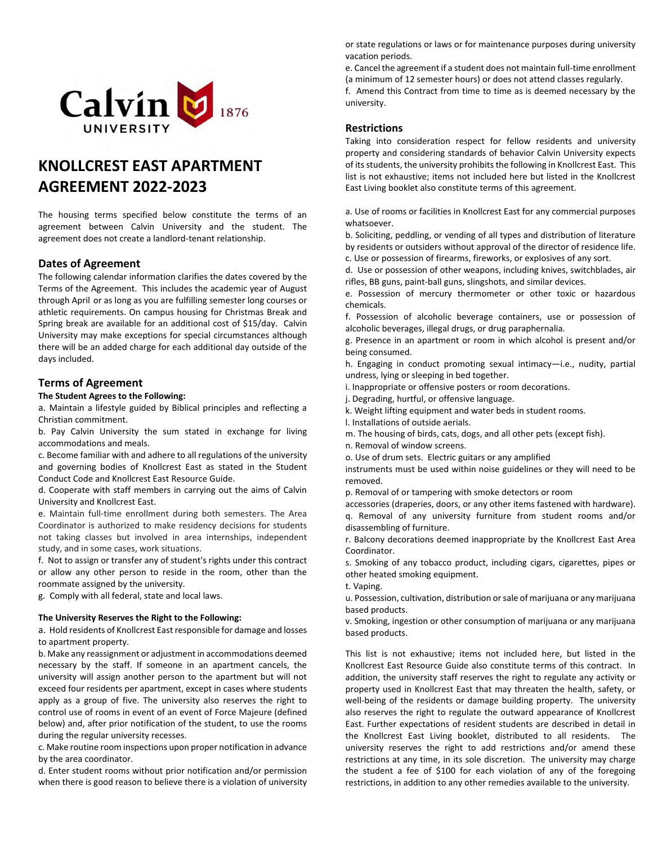

# **KNOLLCREST EAST APARTMENT AGREEMENT 2022-2023**

The housing terms specified below constitute the terms of an agreement between Calvin University and the student. The agreement does not create a landlord-tenant relationship.

# **Dates of Agreement**

The following calendar information clarifies the dates covered by the Terms of the Agreement. This includes the academic year of August through April or as long as you are fulfilling semester long courses or athletic requirements. On campus housing for Christmas Break and Spring break are available for an additional cost of \$15/day. Calvin University may make exceptions for special circumstances although there will be an added charge for each additional day outside of the days included.

# **Terms of Agreement**

## **The Student Agrees to the Following:**

a. Maintain a lifestyle guided by Biblical principles and reflecting a Christian commitment.

b. Pay Calvin University the sum stated in exchange for living accommodations and meals.

c. Become familiar with and adhere to all regulations of the university and governing bodies of Knollcrest East as stated in the Student Conduct Code and Knollcrest East Resource Guide.

d. Cooperate with staff members in carrying out the aims of Calvin University and Knollcrest East.

e. Maintain full-time enrollment during both semesters. The Area Coordinator is authorized to make residency decisions for students not taking classes but involved in area internships, independent study, and in some cases, work situations.

f. Not to assign or transfer any of student's rights under this contract or allow any other person to reside in the room, other than the roommate assigned by the university.

g. Comply with all federal, state and local laws.

## **The University Reserves the Right to the Following:**

a. Hold residents of Knollcrest East responsible for damage and losses to apartment property.

b. Make any reassignment or adjustment in accommodations deemed necessary by the staff. If someone in an apartment cancels, the university will assign another person to the apartment but will not exceed four residents per apartment, except in cases where students apply as a group of five. The university also reserves the right to control use of rooms in event of an event of Force Majeure (defined below) and, after prior notification of the student, to use the rooms during the regular university recesses.

c. Make routine room inspections upon proper notification in advance by the area coordinator.

d. Enter student rooms without prior notification and/or permission when there is good reason to believe there is a violation of university or state regulations or laws or for maintenance purposes during university vacation periods.

e. Cancel the agreement if a student does not maintain full-time enrollment (a minimum of 12 semester hours) or does not attend classes regularly.

f. Amend this Contract from time to time as is deemed necessary by the university.

# **Restrictions**

Taking into consideration respect for fellow residents and university property and considering standards of behavior Calvin University expects of its students, the university prohibits the following in Knollcrest East. This list is not exhaustive; items not included here but listed in the Knollcrest East Living booklet also constitute terms of this agreement.

a. Use of rooms or facilities in Knollcrest East for any commercial purposes whatsoever.

b. Soliciting, peddling, or vending of all types and distribution of literature by residents or outsiders without approval of the director of residence life. c. Use or possession of firearms, fireworks, or explosives of any sort.

d. Use or possession of other weapons, including knives, switchblades, air rifles, BB guns, paint-ball guns, slingshots, and similar devices.

e. Possession of mercury thermometer or other toxic or hazardous chemicals.

f. Possession of alcoholic beverage containers, use or possession of alcoholic beverages, illegal drugs, or drug paraphernalia.

g. Presence in an apartment or room in which alcohol is present and/or being consumed.

h. Engaging in conduct promoting sexual intimacy—i.e., nudity, partial undress, lying or sleeping in bed together.

i. Inappropriate or offensive posters or room decorations.

j. Degrading, hurtful, or offensive language.

k. Weight lifting equipment and water beds in student rooms.

l. Installations of outside aerials.

m. The housing of birds, cats, dogs, and all other pets (except fish).

n. Removal of window screens.

o. Use of drum sets. Electric guitars or any amplified

instruments must be used within noise guidelines or they will need to be removed.

p. Removal of or tampering with smoke detectors or room

accessories (draperies, doors, or any other items fastened with hardware). q. Removal of any university furniture from student rooms and/or disassembling of furniture.

r. Balcony decorations deemed inappropriate by the Knollcrest East Area Coordinator.

s. Smoking of any tobacco product, including cigars, cigarettes, pipes or other heated smoking equipment.

t. Vaping.

u. Possession, cultivation, distribution or sale of marijuana or any marijuana based products.

v. Smoking, ingestion or other consumption of marijuana or any marijuana based products.

This list is not exhaustive; items not included here, but listed in the Knollcrest East Resource Guide also constitute terms of this contract. In addition, the university staff reserves the right to regulate any activity or property used in Knollcrest East that may threaten the health, safety, or well-being of the residents or damage building property. The university also reserves the right to regulate the outward appearance of Knollcrest East. Further expectations of resident students are described in detail in the Knollcrest East Living booklet, distributed to all residents. The university reserves the right to add restrictions and/or amend these restrictions at any time, in its sole discretion. The university may charge the student a fee of \$100 for each violation of any of the foregoing restrictions, in addition to any other remedies available to the university.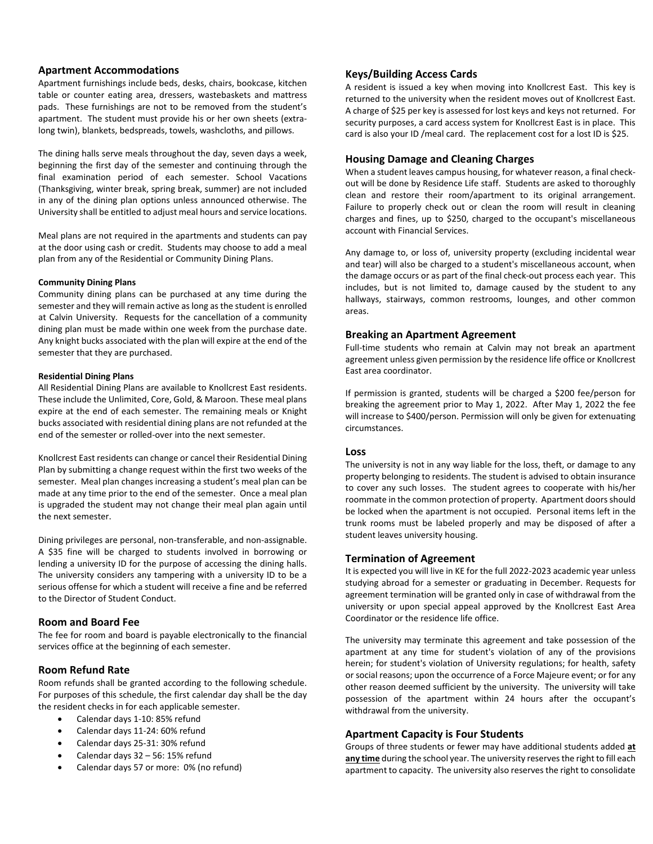# **Apartment Accommodations**

Apartment furnishings include beds, desks, chairs, bookcase, kitchen table or counter eating area, dressers, wastebaskets and mattress pads. These furnishings are not to be removed from the student's apartment. The student must provide his or her own sheets (extralong twin), blankets, bedspreads, towels, washcloths, and pillows.

The dining halls serve meals throughout the day, seven days a week, beginning the first day of the semester and continuing through the final examination period of each semester. School Vacations (Thanksgiving, winter break, spring break, summer) are not included in any of the dining plan options unless announced otherwise. The University shall be entitled to adjust meal hours and service locations.

Meal plans are not required in the apartments and students can pay at the door using cash or credit. Students may choose to add a meal plan from any of the Residential or Community Dining Plans.

## **Community Dining Plans**

Community dining plans can be purchased at any time during the semester and they will remain active as long as the student is enrolled at Calvin University. Requests for the cancellation of a community dining plan must be made within one week from the purchase date. Any knight bucks associated with the plan will expire at the end of the semester that they are purchased.

#### **Residential Dining Plans**

All Residential Dining Plans are available to Knollcrest East residents. These include the Unlimited, Core, Gold, & Maroon. These meal plans expire at the end of each semester. The remaining meals or Knight bucks associated with residential dining plans are not refunded at the end of the semester or rolled-over into the next semester.

Knollcrest East residents can change or cancel their Residential Dining Plan by submitting a change request within the first two weeks of the semester. Meal plan changes increasing a student's meal plan can be made at any time prior to the end of the semester. Once a meal plan is upgraded the student may not change their meal plan again until the next semester.

Dining privileges are personal, non-transferable, and non-assignable. A \$35 fine will be charged to students involved in borrowing or lending a university ID for the purpose of accessing the dining halls. The university considers any tampering with a university ID to be a serious offense for which a student will receive a fine and be referred to the Director of Student Conduct.

# **Room and Board Fee**

The fee for room and board is payable electronically to the financial services office at the beginning of each semester.

# **Room Refund Rate**

Room refunds shall be granted according to the following schedule. For purposes of this schedule, the first calendar day shall be the day the resident checks in for each applicable semester.

- Calendar days 1-10: 85% refund
- Calendar days 11-24: 60% refund
- Calendar days 25-31: 30% refund
- Calendar days  $32 56$ : 15% refund
- Calendar days 57 or more: 0% (no refund)

# **Keys/Building Access Cards**

A resident is issued a key when moving into Knollcrest East. This key is returned to the university when the resident moves out of Knollcrest East. A charge of \$25 per key is assessed for lost keys and keys not returned. For security purposes, a card access system for Knollcrest East is in place. This card is also your ID /meal card. The replacement cost for a lost ID is \$25.

## **Housing Damage and Cleaning Charges**

When a student leaves campus housing, for whatever reason, a final checkout will be done by Residence Life staff. Students are asked to thoroughly clean and restore their room/apartment to its original arrangement. Failure to properly check out or clean the room will result in cleaning charges and fines, up to \$250, charged to the occupant's miscellaneous account with Financial Services.

Any damage to, or loss of, university property (excluding incidental wear and tear) will also be charged to a student's miscellaneous account, when the damage occurs or as part of the final check-out process each year. This includes, but is not limited to, damage caused by the student to any hallways, stairways, common restrooms, lounges, and other common areas.

## **Breaking an Apartment Agreement**

Full-time students who remain at Calvin may not break an apartment agreement unless given permission by the residence life office or Knollcrest East area coordinator.

If permission is granted, students will be charged a \$200 fee/person for breaking the agreement prior to May 1, 2022. After May 1, 2022 the fee will increase to \$400/person. Permission will only be given for extenuating circumstances.

## **Loss**

The university is not in any way liable for the loss, theft, or damage to any property belonging to residents. The student is advised to obtain insurance to cover any such losses. The student agrees to cooperate with his/her roommate in the common protection of property. Apartment doors should be locked when the apartment is not occupied. Personal items left in the trunk rooms must be labeled properly and may be disposed of after a student leaves university housing.

## **Termination of Agreement**

It is expected you will live in KE for the full 2022-2023 academic year unless studying abroad for a semester or graduating in December. Requests for agreement termination will be granted only in case of withdrawal from the university or upon special appeal approved by the Knollcrest East Area Coordinator or the residence life office.

The university may terminate this agreement and take possession of the apartment at any time for student's violation of any of the provisions herein; for student's violation of University regulations; for health, safety or social reasons; upon the occurrence of a Force Majeure event; or for any other reason deemed sufficient by the university. The university will take possession of the apartment within 24 hours after the occupant's withdrawal from the university.

## **Apartment Capacity is Four Students**

Groups of three students or fewer may have additional students added **at any time** during the school year. The university reserves the right to fill each apartment to capacity. The university also reserves the right to consolidate